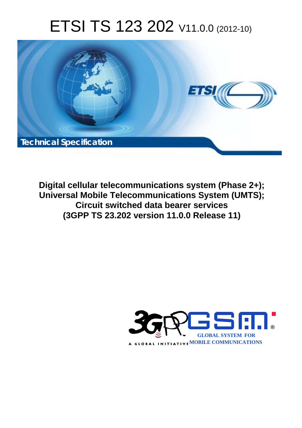# ETSI TS 123 202 V11.0.0 (2012-10)



**Digital cellular telecommunications system (Phase 2+); Universal Mobile Telecommunications System (UMTS); Circuit switched data bearer services (3GPP TS 23.202 version 11.0.0 Release 11)** 

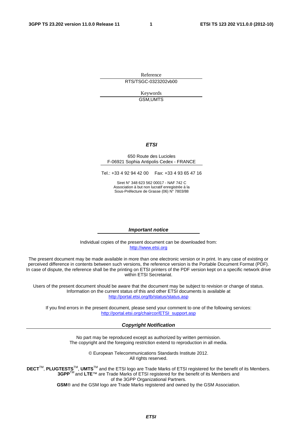Reference RTS/TSGC-0323202vb00

> Keywords GSM,UMTS

#### *ETSI*

#### 650 Route des Lucioles F-06921 Sophia Antipolis Cedex - FRANCE

Tel.: +33 4 92 94 42 00 Fax: +33 4 93 65 47 16

Siret N° 348 623 562 00017 - NAF 742 C Association à but non lucratif enregistrée à la Sous-Préfecture de Grasse (06) N° 7803/88

#### *Important notice*

Individual copies of the present document can be downloaded from: [http://www.etsi.org](http://www.etsi.org/)

The present document may be made available in more than one electronic version or in print. In any case of existing or perceived difference in contents between such versions, the reference version is the Portable Document Format (PDF). In case of dispute, the reference shall be the printing on ETSI printers of the PDF version kept on a specific network drive within ETSI Secretariat.

Users of the present document should be aware that the document may be subject to revision or change of status. Information on the current status of this and other ETSI documents is available at <http://portal.etsi.org/tb/status/status.asp>

If you find errors in the present document, please send your comment to one of the following services: [http://portal.etsi.org/chaircor/ETSI\\_support.asp](http://portal.etsi.org/chaircor/ETSI_support.asp)

#### *Copyright Notification*

No part may be reproduced except as authorized by written permission. The copyright and the foregoing restriction extend to reproduction in all media.

> © European Telecommunications Standards Institute 2012. All rights reserved.

DECT<sup>™</sup>, PLUGTESTS<sup>™</sup>, UMTS<sup>™</sup> and the ETSI logo are Trade Marks of ETSI registered for the benefit of its Members. **3GPP**TM and **LTE**™ are Trade Marks of ETSI registered for the benefit of its Members and of the 3GPP Organizational Partners.

**GSM**® and the GSM logo are Trade Marks registered and owned by the GSM Association.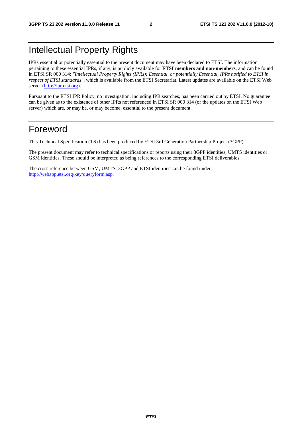### Intellectual Property Rights

IPRs essential or potentially essential to the present document may have been declared to ETSI. The information pertaining to these essential IPRs, if any, is publicly available for **ETSI members and non-members**, and can be found in ETSI SR 000 314: *"Intellectual Property Rights (IPRs); Essential, or potentially Essential, IPRs notified to ETSI in respect of ETSI standards"*, which is available from the ETSI Secretariat. Latest updates are available on the ETSI Web server [\(http://ipr.etsi.org](http://webapp.etsi.org/IPR/home.asp)).

Pursuant to the ETSI IPR Policy, no investigation, including IPR searches, has been carried out by ETSI. No guarantee can be given as to the existence of other IPRs not referenced in ETSI SR 000 314 (or the updates on the ETSI Web server) which are, or may be, or may become, essential to the present document.

### Foreword

This Technical Specification (TS) has been produced by ETSI 3rd Generation Partnership Project (3GPP).

The present document may refer to technical specifications or reports using their 3GPP identities, UMTS identities or GSM identities. These should be interpreted as being references to the corresponding ETSI deliverables.

The cross reference between GSM, UMTS, 3GPP and ETSI identities can be found under [http://webapp.etsi.org/key/queryform.asp.](http://webapp.etsi.org/key/queryform.asp)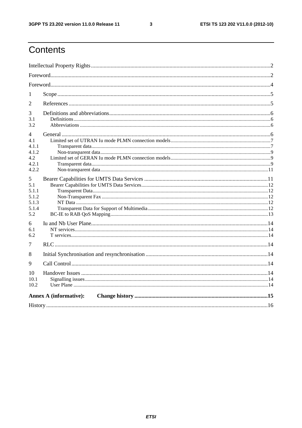$\mathbf{3}$ 

# Contents

| 1                                                   |                               |  |  |  |  |  |
|-----------------------------------------------------|-------------------------------|--|--|--|--|--|
| 2                                                   |                               |  |  |  |  |  |
| 3<br>3.1<br>3.2                                     |                               |  |  |  |  |  |
| 4<br>4.1<br>4.1.1<br>4.1.2<br>4.2<br>4.2.1<br>4.2.2 |                               |  |  |  |  |  |
| 5<br>5.1<br>5.1.1<br>5.1.2<br>5.1.3<br>5.1.4<br>5.2 |                               |  |  |  |  |  |
| 6<br>6.1<br>6.2                                     |                               |  |  |  |  |  |
| 7                                                   |                               |  |  |  |  |  |
| 8                                                   |                               |  |  |  |  |  |
| 9                                                   |                               |  |  |  |  |  |
| 10<br>10.1<br>10.2                                  |                               |  |  |  |  |  |
|                                                     | <b>Annex A (informative):</b> |  |  |  |  |  |
|                                                     |                               |  |  |  |  |  |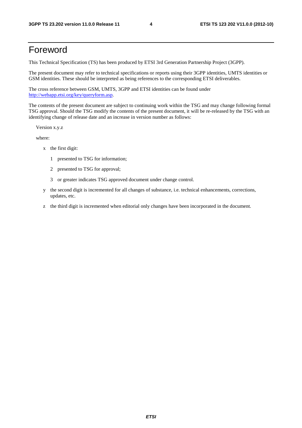### Foreword

This Technical Specification (TS) has been produced by ETSI 3rd Generation Partnership Project (3GPP).

The present document may refer to technical specifications or reports using their 3GPP identities, UMTS identities or GSM identities. These should be interpreted as being references to the corresponding ETSI deliverables.

The cross reference between GSM, UMTS, 3GPP and ETSI identities can be found under [http://webapp.etsi.org/key/queryform.asp.](http://webapp.etsi.org/key/queryform.asp)

The contents of the present document are subject to continuing work within the TSG and may change following formal TSG approval. Should the TSG modify the contents of the present document, it will be re-released by the TSG with an identifying change of release date and an increase in version number as follows:

Version x.y.z

where:

- x the first digit:
	- 1 presented to TSG for information;
	- 2 presented to TSG for approval;
	- 3 or greater indicates TSG approved document under change control.
- y the second digit is incremented for all changes of substance, i.e. technical enhancements, corrections, updates, etc.
- z the third digit is incremented when editorial only changes have been incorporated in the document.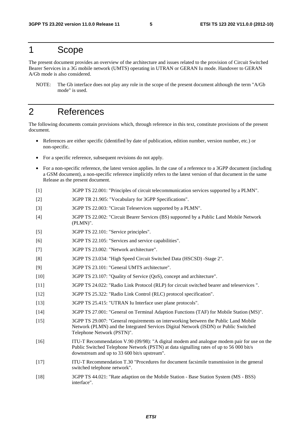### 1 Scope

The present document provides an overview of the architecture and issues related to the provision of Circuit Switched Bearer Services in a 3G mobile network (UMTS) operating in UTRAN or GERAN Iu mode. Handover to GERAN A/Gb mode is also considered.

NOTE: The Gb interface does not play any role in the scope of the present document although the term "A/Gb mode" is used.

### 2 References

The following documents contain provisions which, through reference in this text, constitute provisions of the present document.

- References are either specific (identified by date of publication, edition number, version number, etc.) or non-specific.
- For a specific reference, subsequent revisions do not apply.
- For a non-specific reference, the latest version applies. In the case of a reference to a 3GPP document (including a GSM document), a non-specific reference implicitly refers to the latest version of that document in the same Release as the present document.
- [1] 3GPP TS 22.001: "Principles of circuit telecommunication services supported by a PLMN".
- [2] 3GPP TR 21.905: "Vocabulary for 3GPP Specifications".
- [3] 3GPP TS 22.003: "Circuit Teleservices supported by a PLMN".
- [4] 3GPP TS 22.002: "Circuit Bearer Services (BS) supported by a Public Land Mobile Network (PLMN)".
- [5] 3GPP TS 22.101: "Service principles".
- [6] 3GPP TS 22.105: "Services and service capabilities".
- [7] 3GPP TS 23.002: "Network architecture".
- [8] 3GPP TS 23.034: "High Speed Circuit Switched Data (HSCSD) -Stage 2".
- [9] 3GPP TS 23.101: "General UMTS architecture".
- [10] 3GPP TS 23.107: "Quality of Service (QoS), concept and architecture".
- [11] 3GPP TS 24.022: "Radio Link Protocol (RLP) for circuit switched bearer and teleservices ".
- [12] 3GPP TS 25.322: "Radio Link Control (RLC) protocol specification".
- [13] 3GPP TS 25.415: "UTRAN Iu Interface user plane protocols".
- [14] 3GPP TS 27.001: "General on Terminal Adaption Functions (TAF) for Mobile Station (MS)".
- [15] 3GPP TS 29.007: "General requirements on interworking between the Public Land Mobile Network (PLMN) and the Integrated Services Digital Network (ISDN) or Public Switched Telephone Network (PSTN)".
- [16] ITU-T Recommendation V.90 (09/98): "A digital modem and analogue modem pair for use on the Public Switched Telephone Network (PSTN) at data signalling rates of up to 56 000 bit/s downstream and up to 33 600 bit/s upstream".
- [17] ITU-T Recommendation T.30 "Procedures for document facsimile transmission in the general switched telephone network".
- [18] 3GPP TS 44.021: "Rate adaption on the Mobile Station Base Station System (MS BSS) interface".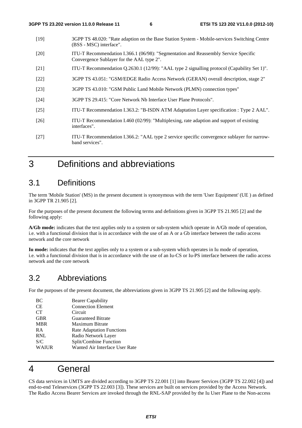- [19] 3GPP TS 48.020: "Rate adaption on the Base Station System Mobile-services Switching Centre (BSS - MSC) interface".
- [20] ITU-T Recommendation I.366.1 (06/98): "Segmentation and Reassembly Service Specific Convergence Sublayer for the AAL type 2".
- [21] ITU-T Recommendation Q.2630.1 (12/99): "AAL type 2 signalling protocol (Capability Set 1)".
- [22] 3GPP TS 43.051: "GSM/EDGE Radio Access Network (GERAN) overall description, stage 2"
- [23] 3GPP TS 43.010: "GSM Public Land Mobile Network (PLMN) connection types"
- [24] 3GPP TS 29.415: "Core Network Nb Interface User Plane Protocols".
- [25] ITU-T Recommendation I.363.2: "B-ISDN ATM Adaptation Layer specification : Type 2 AAL".
- [26] ITU-T Recommendation I.460 (02/99): "Multiplexing, rate adaption and support of existing interfaces".
- [27] ITU-T Recommendation I.366.2: "AAL type 2 service specific convergence sublayer for narrowband services".

### 3 Definitions and abbreviations

#### 3.1 Definitions

The term 'Mobile Station' (MS) in the present document is synonymous with the term 'User Equipment' (UE ) as defined in 3GPP TR 21.905 [2].

For the purposes of the present document the following terms and definitions given in 3GPP TS 21.905 [2] and the following apply:

**A/Gb mode:** indicates that the text applies only to a system or sub-system which operate in A/Gb mode of operation, i.e. with a functional division that is in accordance with the use of an A or a Gb interface between the radio access network and the core network

**Iu mode:** indicates that the text applies only to a system or a sub-system which operates in Iu mode of operation, i.e. with a functional division that is in accordance with the use of an Iu-CS or Iu-PS interface between the radio access network and the core network

### 3.2 Abbreviations

For the purposes of the present document, the abbreviations given in 3GPP TS 21.905 [2] and the following apply.

| BC           | <b>Bearer Capability</b>         |
|--------------|----------------------------------|
| <b>CE</b>    | <b>Connection Element</b>        |
| <b>CT</b>    | Circuit                          |
| <b>GBR</b>   | <b>Guaranteed Bitrate</b>        |
| <b>MBR</b>   | <b>Maximum Bitrate</b>           |
| <b>RA</b>    | <b>Rate Adaptation Functions</b> |
| <b>RNL</b>   | Radio Network Layer              |
| S/C          | Split/Combine Function           |
| <b>WAIUR</b> | Wanted Air Interface User Rate   |

### 4 General

CS data services in UMTS are divided according to 3GPP TS 22.001 [1] into Bearer Services (3GPP TS 22.002 [4]) and end-to-end Teleservices (3GPP TS 22.003 [3]). These services are built on services provided by the Access Network. The Radio Access Bearer Services are invoked through the RNL-SAP provided by the Iu User Plane to the Non-access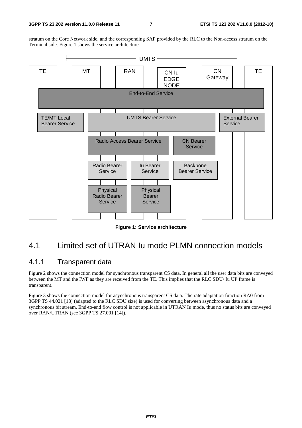stratum on the Core Network side, and the corresponding SAP provided by the RLC to the Non-access stratum on the Terminal side. Figure 1 shows the service architecture.



**Figure 1: Service architecture** 

### 4.1 Limited set of UTRAN Iu mode PLMN connection models

#### 4.1.1 Transparent data

Figure 2 shows the connection model for synchronous transparent CS data. In general all the user data bits are conveyed between the MT and the IWF as they are received from the TE. This implies that the RLC SDU/ Iu UP frame is transparent.

Figure 3 shows the connection model for asynchronous transparent CS data. The rate adaptation function RA0 from 3GPP TS 44.021 [18] (adapted to the RLC SDU size) is used for converting between asynchronous data and a synchronous bit stream. End-to-end flow control is not applicable in UTRAN Iu mode, thus no status bits are conveyed over RAN/UTRAN (see 3GPP TS 27.001 [14]).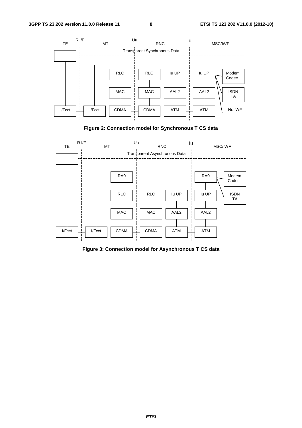





**Figure 3: Connection model for Asynchronous T CS data**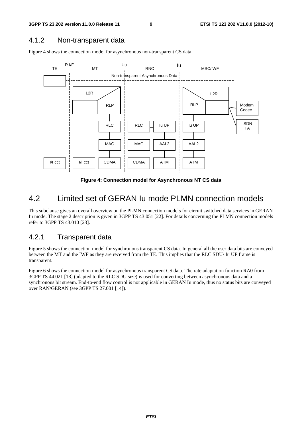#### 4.1.2 Non-transparent data

Figure 4 shows the connection model for asynchronous non-transparent CS data.



**Figure 4: Connection model for Asynchronous NT CS data** 

### 4.2 Limited set of GERAN Iu mode PLMN connection models

This subclause gives an overall overview on the PLMN connection models for circuit switched data services in GERAN Iu mode. The stage 2 description is given in 3GPP TS 43.051 [22]. For details concerning the PLMN connection models refer to 3GPP TS 43.010 [23].

#### 4.2.1 Transparent data

Figure 5 shows the connection model for synchronous transparent CS data. In general all the user data bits are conveyed between the MT and the IWF as they are received from the TE. This implies that the RLC SDU/ Iu UP frame is transparent.

Figure 6 shows the connection model for asynchronous transparent CS data. The rate adaptation function RA0 from 3GPP TS 44.021 [18] (adapted to the RLC SDU size) is used for converting between asynchronous data and a synchronous bit stream. End-to-end flow control is not applicable in GERAN Iu mode, thus no status bits are conveyed over RAN/GERAN (see 3GPP TS 27.001 [14]).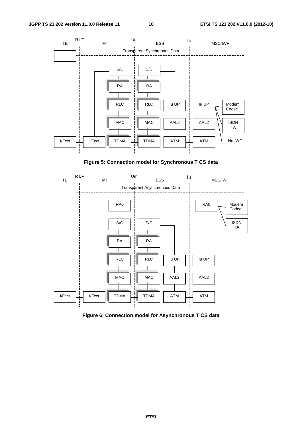

**Figure 5: Connection model for Synchronous T CS data** 



**Figure 6: Connection model for Asynchronous T CS data**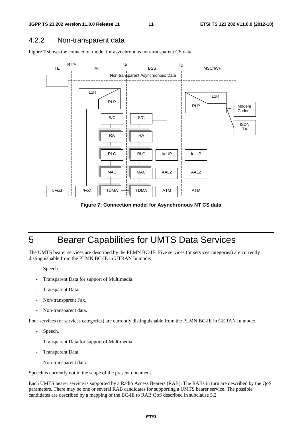#### 4.2.2 Non-transparent data

Figure 7 shows the connection model for asynchronous non-transparent CS data.



**Figure 7: Connection model for Asynchronous NT CS data** 

### 5 Bearer Capabilities for UMTS Data Services

The UMTS bearer services are described by the PLMN BC-IE. Five services (or services categories) are currently distinguishable from the PLMN BC-IE in UTRAN Iu mode:

- Speech.
- Transparent Data for support of Multimedia.
- Transparent Data.
- Non-transparent Fax.
- Non-transparent data.

Four services (or services categories) are currently distinguishable from the PLMN BC-IE in GERAN Iu mode:

- Speech.
- Transparent Data for support of Multimedia.
- Transparent Data.
- Non-transparent data.

Speech is currently not in the scope of the present document.

Each UMTS bearer service is supported by a Radio Access Bearers (RAB). The RABs in turn are described by the QoS parameters. There may be one or several RAB candidates for supporting a UMTS bearer service. The possible candidates are described by a mapping of the BC-IE to RAB QoS described in subclause 5.2.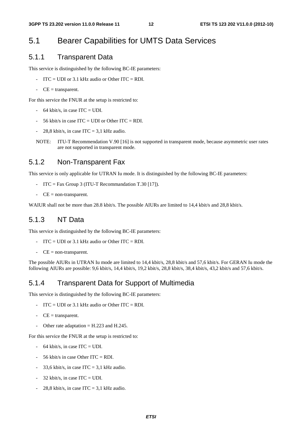### 5.1 Bearer Capabilities for UMTS Data Services

#### 5.1.1 Transparent Data

This service is distinguished by the following BC-IE parameters:

- $ITC = UDI$  or 3.1 kHz audio or Other  $ITC = RDI$ .
- $-CE =$  transparent.

For this service the FNUR at the setup is restricted to:

- $-64$  kbit/s, in case ITC = UDI.
- $-$  56 kbit/s in case ITC = UDI or Other ITC = RDI.
- 28,8 kbit/s, in case ITC = 3,1 kHz audio.
- NOTE: ITU-T Recommendation V.90 [16] is not supported in transparent mode, because asymmetric user rates are not supported in transparent mode.

#### 5.1.2 Non-Transparent Fax

This service is only applicable for UTRAN Iu mode. It is distinguished by the following BC-IE parameters:

- ITC = Fax Group 3 (ITU-T Recommandation T.30 [17]).
- $-CE = non-transport.$

WAIUR shall not be more than 28.8 kbit/s. The possible AIURs are limited to 14,4 kbit/s and 28,8 kbit/s.

#### 5.1.3 NT Data

This service is distinguished by the following BC-IE parameters:

- ITC = UDI or 3.1 kHz audio or Other ITC = RDI.
- $-CE = non-transport.$

The possible AIURs in UTRAN Iu mode are limited to 14,4 kbit/s, 28,8 kbit/s and 57,6 kbit/s. For GERAN Iu mode the following AIURs are possible: 9,6 kbit/s, 14,4 kbit/s, 19,2 kbit/s, 28,8 kbit/s, 38,4 kbit/s, 43,2 kbit/s and 57,6 kbit/s.

#### 5.1.4 Transparent Data for Support of Multimedia

This service is distinguished by the following BC-IE parameters:

- ITC = UDI or 3.1 kHz audio or Other ITC = RDI.
- $CE =$  transparent.
- Other rate adaptation  $=$  H.223 and H.245.

For this service the FNUR at the setup is restricted to:

- $-64$  kbit/s, in case ITC = UDI.
- 56 kbit/s in case Other ITC = RDI.
- 33,6 kbit/s, in case ITC = 3,1 kHz audio.
- $32$  kbit/s, in case ITC = UDI.
- 28,8 kbit/s, in case  $ITC = 3.1$  kHz audio.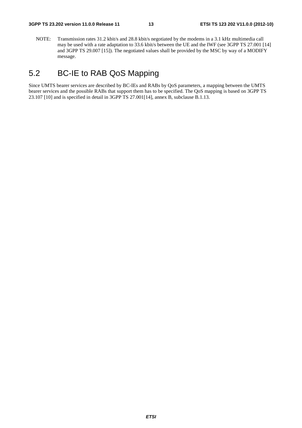NOTE: Transmission rates 31.2 kbit/s and 28.8 kbit/s negotiated by the modems in a 3.1 kHz multimedia call may be used with a rate adaptation to 33.6 kbit/s between the UE and the IWF (see 3GPP TS 27.001 [14] and 3GPP TS 29.007 [15]). The negotiated values shall be provided by the MSC by way of a MODIFY message.

### 5.2 BC-IE to RAB QoS Mapping

Since UMTS bearer services are described by BC-IEs and RABs by QoS parameters, a mapping between the UMTS bearer services and the possible RABs that support them has to be specified. The QoS mapping is based on 3GPP TS 23.107 [10] and is specified in detail in 3GPP TS 27.001[14], annex B, subclause B.1.13.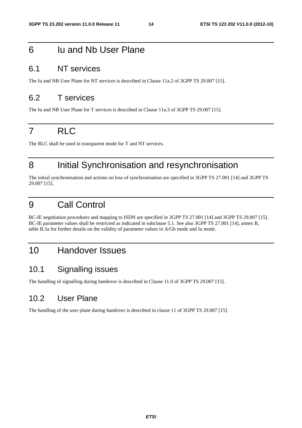### 6 Iu and Nb User Plane

### 6.1 NT services

The Iu and NB User Plane for NT services is described in Clause 11a.2 of 3GPP TS 29.007 [15].

### 6.2 T services

The Iu and NB User Plane for T services is described in Clause 11a.3 of 3GPP TS 29.007 [15].

# 7 RLC

The RLC shall be used in transparent mode for T and NT services.

### 8 Initial Synchronisation and resynchronisation

The initial synchronisation and actions on loss of synchronisation are specified in 3GPP TS 27.001 [14] and 3GPP TS 29.007 [15].

### 9 Call Control

BC-IE negotiation procedures and mapping to ISDN are specified in 3GPP TS 27.001 [14] and 3GPP TS 29.007 [15]. BC-IE parameter values shall be restricted as indicated in subclause 5.1. See also 3GPP TS 27.001 [14], annex B, table B.5a for further details on the validity of parameter values in A/Gb mode and Iu mode.

### 10 Handover Issues

#### 10.1 Signalling issues

The handling of signalling during handover is described in Clause 11.0 of 3GPP TS 29.007 [15].

### 10.2 User Plane

The handling of the user plane during handover is described in clause 11 of 3GPP TS 29.007 [15].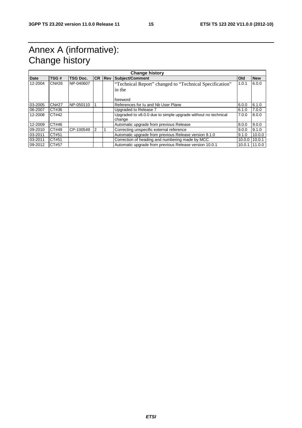## Annex A (informative): Change history

| <b>Date</b> | TSG#         | TSG Doc.  |   | <b>CR Rev</b> | Subject/Comment                                                         | Old    | <b>New</b> |
|-------------|--------------|-----------|---|---------------|-------------------------------------------------------------------------|--------|------------|
| 12-2004     | CN#26        | NP-040607 |   |               | "Technical Report" changed to "Technical Specification"<br>in the       | 1.0.1  | 6.0.0      |
|             |              |           |   |               | foreword                                                                |        |            |
| 03-2005     | <b>CN#27</b> | NP-050110 |   |               | References for Ju and Nb User Plane                                     | 6.0.0  | 6.1.0      |
| 06-2007     | CT#36        |           |   |               | Upgraded to Release 7                                                   | 6.1.0  | 7.0.0      |
| 12-2008     | CT#42        |           |   |               | Upgraded to v8.0.0 due to simple upgrade without no technical<br>change | 7.0.0  | 8.0.0      |
| 12-2009     | CT#46        |           |   |               | Automatic upgrade from previous Release                                 | 8.0.0  | 9.0.0      |
| 09-2010     | CT#49        | CP-100549 | 2 |               | Correcting unspecific external reference                                | 9.0.0  | 9.1.0      |
| 03-2011     | CT#51        |           |   |               | Automatic upgrade from previous Release version 9.1.0                   | 9.1.0  | 10.0.0     |
| 03-2011     | CT#51        |           |   |               | Correction of heading and numbering made by MCC                         | 10.0.0 | 10.0.1     |
| 09-2012     | CT#57        |           |   |               | Automatic upgrade from previous Release version 10.0.1                  | 10.0.1 | 11.0.0     |